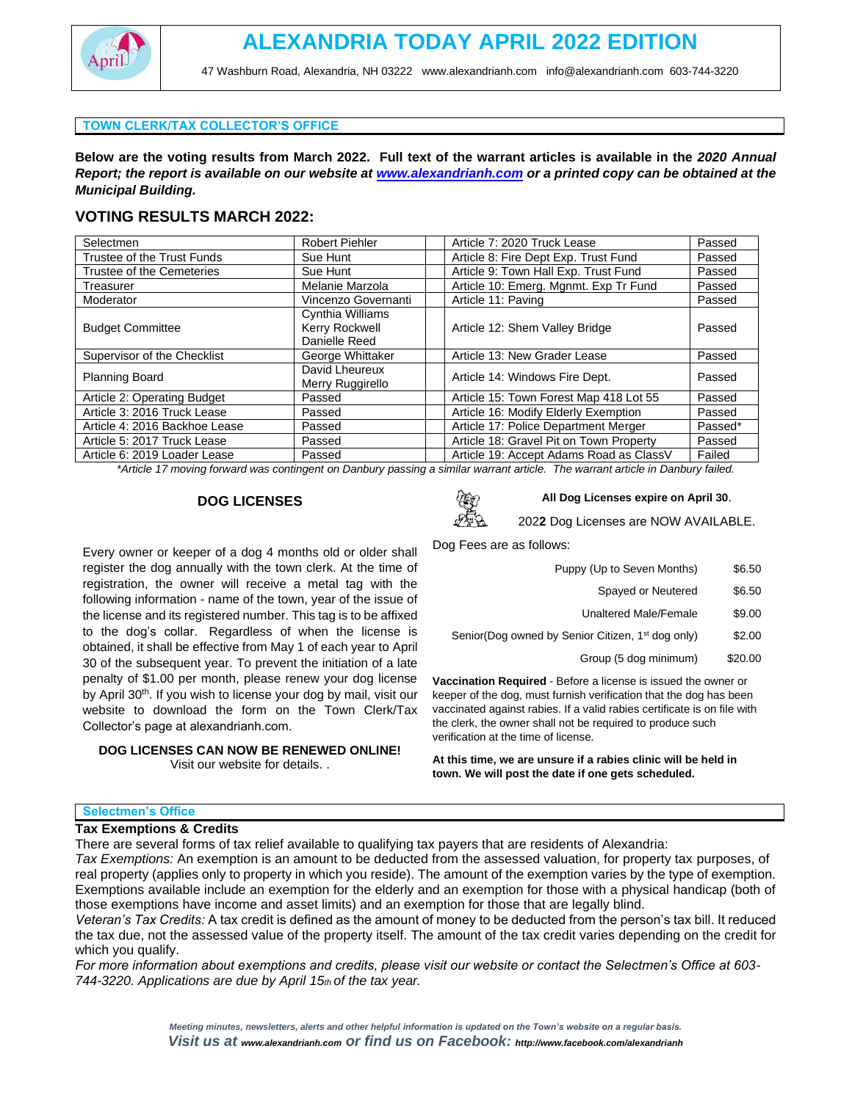

47 Washburn Road, Alexandria, NH 03222 [www.alexandrianh.com](http://www.alexandrianh.com/) info@alexandrianh.com 603-744-3220

### **TOWN CLERK/TAX COLLECTOR'S OFFICE**

**Below are the voting results from March 2022. Full text of the warrant articles is available in the** *2020 Annual Report; the report is available on our website at [www.alexandrianh.com](http://www.alexandrianh.com/) or a printed copy can be obtained at the Municipal Building.*

## **VOTING RESULTS MARCH 2022:**

| Selectmen                     | <b>Robert Piehler</b>              | Article 7: 2020 Truck Lease             | Passed  |
|-------------------------------|------------------------------------|-----------------------------------------|---------|
| Trustee of the Trust Funds    | Sue Hunt                           | Article 8: Fire Dept Exp. Trust Fund    | Passed  |
| Trustee of the Cemeteries     | Sue Hunt                           | Article 9: Town Hall Exp. Trust Fund    | Passed  |
| Treasurer                     | Melanie Marzola                    | Article 10: Emerg. Mgnmt. Exp Tr Fund   | Passed  |
| Moderator                     | Vincenzo Governanti                | Article 11: Paving                      | Passed  |
| <b>Budget Committee</b>       | Cynthia Williams                   |                                         |         |
|                               | Kerry Rockwell                     | Article 12: Shem Valley Bridge          | Passed  |
|                               | Danielle Reed                      |                                         |         |
| Supervisor of the Checklist   | George Whittaker                   | Article 13: New Grader Lease            | Passed  |
| <b>Planning Board</b>         | David Lheureux<br>Merry Ruggirello | Article 14: Windows Fire Dept.          | Passed  |
| Article 2: Operating Budget   | Passed                             | Article 15: Town Forest Map 418 Lot 55  | Passed  |
| Article 3: 2016 Truck Lease   | Passed                             | Article 16: Modify Elderly Exemption    | Passed  |
| Article 4: 2016 Backhoe Lease | Passed                             | Article 17: Police Department Merger    | Passed* |
| Article 5: 2017 Truck Lease   | Passed                             | Article 18: Gravel Pit on Town Property | Passed  |
| Article 6: 2019 Loader Lease  | Passed                             | Article 19: Accept Adams Road as ClassV | Failed  |

*\*Article 17 moving forward was contingent on Danbury passing a similar warrant article. The warrant article in Danbury failed.*

## **DOG LICENSES**



#### **DOG LICENSES CAN NOW BE RENEWED ONLINE!** Visit our website for details. .



## **All Dog Licenses expire on April 30**.

202**2** Dog Licenses are NOW AVAILABLE.

Dog Fees are as follows:

| Puppy (Up to Seven Months) | \$6.50 |
|----------------------------|--------|
| Spayed or Neutered         | \$6.50 |

- Unaltered Male/Female \$9.00
- Senior(Dog owned by Senior Citizen, 1<sup>st</sup> dog only) \$2.00
	- Group (5 dog minimum) \$20.00

**Vaccination Required** - Before a license is issued the owner or keeper of the dog, must furnish verification that the dog has been vaccinated against rabies. If a valid rabies certificate is on file with the clerk, the owner shall not be required to produce such verification at the time of license.

**At this time, we are unsure if a rabies clinic will be held in town. We will post the date if one gets scheduled.**

#### **Selectmen's Office**

### **Tax Exemptions & Credits**

There are several forms of tax relief available to qualifying tax payers that are residents of Alexandria:

*Tax Exemptions:* An exemption is an amount to be deducted from the assessed valuation, for property tax purposes, of real property (applies only to property in which you reside). The amount of the exemption varies by the type of exemption. Exemptions available include an exemption for the elderly and an exemption for those with a physical handicap (both of those exemptions have income and asset limits) and an exemption for those that are legally blind.

*Veteran's Tax Credits:* A tax credit is defined as the amount of money to be deducted from the person's tax bill. It reduced the tax due, not the assessed value of the property itself. The amount of the tax credit varies depending on the credit for which you qualify.

*For more information about exemptions and credits, please visit our website or contact the Selectmen's Office at 603- 744-3220. Applications are due by April 15th of the tax year.*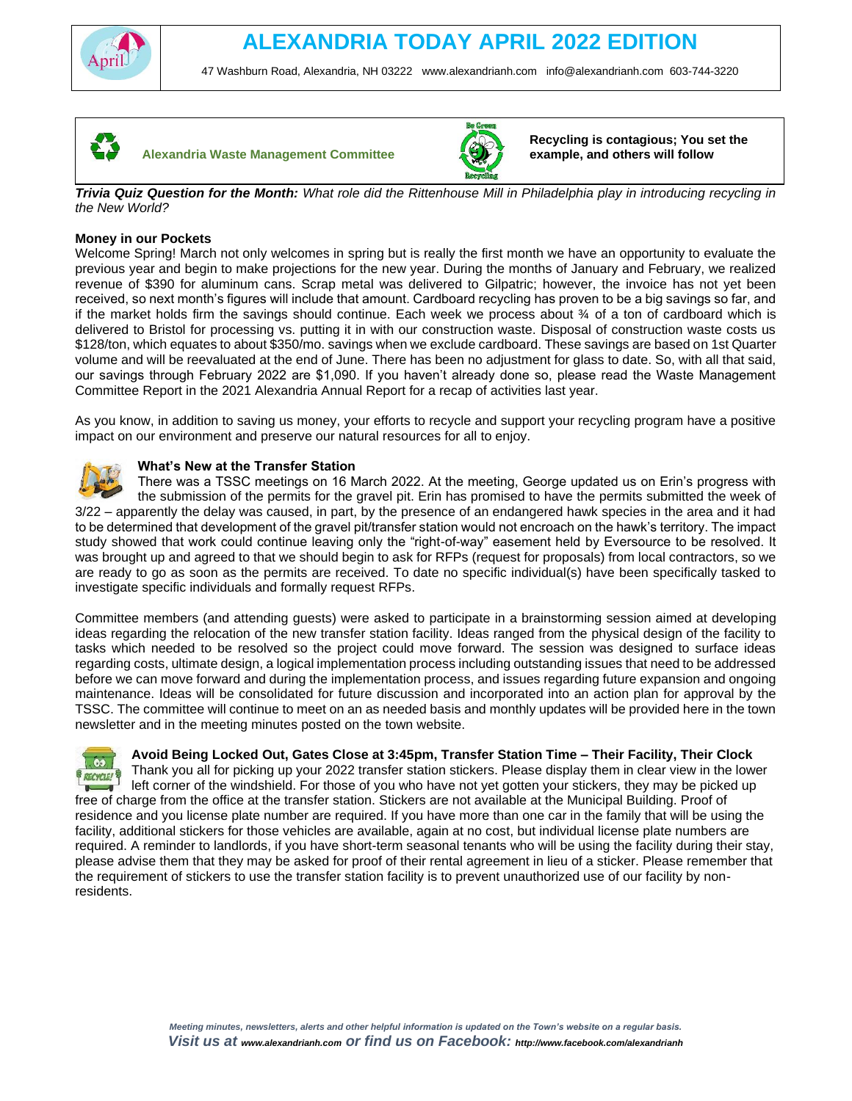

47 Washburn Road, Alexandria, NH 03222 [www.alexandrianh.com](http://www.alexandrianh.com/) info@alexandrianh.com 603-744-3220





**Recycling is contagious; You set the example, and others will follow**

*Trivia Quiz Question for the Month: What role did the Rittenhouse Mill in Philadelphia play in introducing recycling in the New World?*

## **Money in our Pockets**

Welcome Spring! March not only welcomes in spring but is really the first month we have an opportunity to evaluate the previous year and begin to make projections for the new year. During the months of January and February, we realized revenue of \$390 for aluminum cans. Scrap metal was delivered to Gilpatric; however, the invoice has not yet been received, so next month's figures will include that amount. Cardboard recycling has proven to be a big savings so far, and if the market holds firm the savings should continue. Each week we process about ¾ of a ton of cardboard which is delivered to Bristol for processing vs. putting it in with our construction waste. Disposal of construction waste costs us \$128/ton, which equates to about \$350/mo. savings when we exclude cardboard. These savings are based on 1st Quarter volume and will be reevaluated at the end of June. There has been no adjustment for glass to date. So, with all that said, our savings through February 2022 are \$1,090. If you haven't already done so, please read the Waste Management Committee Report in the 2021 Alexandria Annual Report for a recap of activities last year.

As you know, in addition to saving us money, your efforts to recycle and support your recycling program have a positive impact on our environment and preserve our natural resources for all to enjoy.

## **What's New at the Transfer Station**

There was a TSSC meetings on 16 March 2022. At the meeting, George updated us on Erin's progress with the submission of the permits for the gravel pit. Erin has promised to have the permits submitted the week of 3/22 – apparently the delay was caused, in part, by the presence of an endangered hawk species in the area and it had to be determined that development of the gravel pit/transfer station would not encroach on the hawk's territory. The impact study showed that work could continue leaving only the "right-of-way" easement held by Eversource to be resolved. It was brought up and agreed to that we should begin to ask for RFPs (request for proposals) from local contractors, so we are ready to go as soon as the permits are received. To date no specific individual(s) have been specifically tasked to investigate specific individuals and formally request RFPs.

Committee members (and attending guests) were asked to participate in a brainstorming session aimed at developing ideas regarding the relocation of the new transfer station facility. Ideas ranged from the physical design of the facility to tasks which needed to be resolved so the project could move forward. The session was designed to surface ideas regarding costs, ultimate design, a logical implementation process including outstanding issues that need to be addressed before we can move forward and during the implementation process, and issues regarding future expansion and ongoing maintenance. Ideas will be consolidated for future discussion and incorporated into an action plan for approval by the TSSC. The committee will continue to meet on an as needed basis and monthly updates will be provided here in the town newsletter and in the meeting minutes posted on the town website.

## **Avoid Being Locked Out, Gates Close at 3:45pm, Transfer Station Time – Their Facility, Their Clock**

 $\overline{\phantom{0}}$ Thank you all for picking up your 2022 transfer station stickers. Please display them in clear view in the lower **BRECYCLE!** left corner of the windshield. For those of you who have not yet gotten your stickers, they may be picked up  $\mathbf{r}$ free of charge from the office at the transfer station. Stickers are not available at the Municipal Building. Proof of residence and you license plate number are required. If you have more than one car in the family that will be using the facility, additional stickers for those vehicles are available, again at no cost, but individual license plate numbers are required. A reminder to landlords, if you have short-term seasonal tenants who will be using the facility during their stay, please advise them that they may be asked for proof of their rental agreement in lieu of a sticker. Please remember that the requirement of stickers to use the transfer station facility is to prevent unauthorized use of our facility by nonresidents.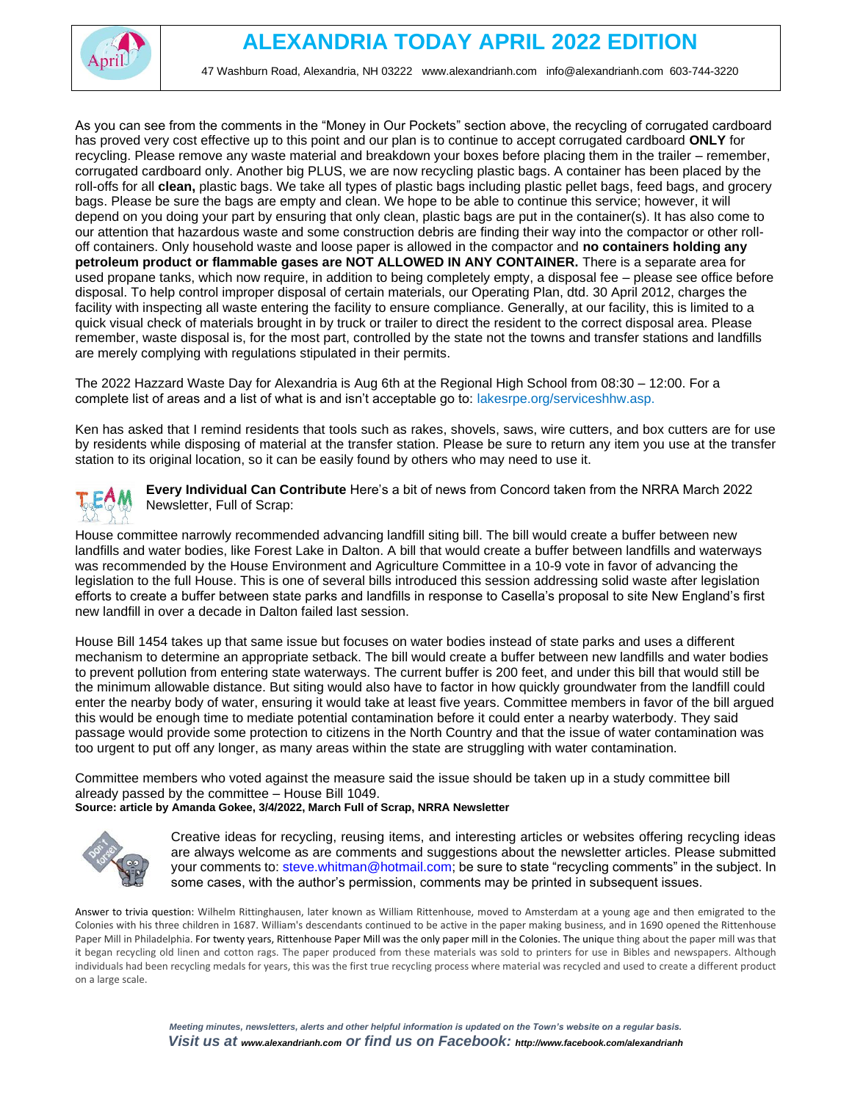

47 Washburn Road, Alexandria, NH 03222 [www.alexandrianh.com](http://www.alexandrianh.com/) info@alexandrianh.com 603-744-3220

As you can see from the comments in the "Money in Our Pockets" section above, the recycling of corrugated cardboard has proved very cost effective up to this point and our plan is to continue to accept corrugated cardboard **ONLY** for recycling. Please remove any waste material and breakdown your boxes before placing them in the trailer – remember, corrugated cardboard only. Another big PLUS, we are now recycling plastic bags. A container has been placed by the roll-offs for all **clean,** plastic bags. We take all types of plastic bags including plastic pellet bags, feed bags, and grocery bags. Please be sure the bags are empty and clean. We hope to be able to continue this service; however, it will depend on you doing your part by ensuring that only clean, plastic bags are put in the container(s). It has also come to our attention that hazardous waste and some construction debris are finding their way into the compactor or other rolloff containers. Only household waste and loose paper is allowed in the compactor and **no containers holding any petroleum product or flammable gases are NOT ALLOWED IN ANY CONTAINER.** There is a separate area for used propane tanks, which now require, in addition to being completely empty, a disposal fee – please see office before disposal. To help control improper disposal of certain materials, our Operating Plan, dtd. 30 April 2012, charges the facility with inspecting all waste entering the facility to ensure compliance. Generally, at our facility, this is limited to a quick visual check of materials brought in by truck or trailer to direct the resident to the correct disposal area. Please remember, waste disposal is, for the most part, controlled by the state not the towns and transfer stations and landfills are merely complying with regulations stipulated in their permits.

The 2022 Hazzard Waste Day for Alexandria is Aug 6th at the Regional High School from 08:30 – 12:00. For a complete list of areas and a list of what is and isn't acceptable go to: lakesrpe.org/serviceshhw.asp.

Ken has asked that I remind residents that tools such as rakes, shovels, saws, wire cutters, and box cutters are for use by residents while disposing of material at the transfer station. Please be sure to return any item you use at the transfer station to its original location, so it can be easily found by others who may need to use it.



**Every Individual Can Contribute** Here's a bit of news from Concord taken from the NRRA March 2022 Newsletter, Full of Scrap:

House committee narrowly recommended advancing landfill siting bill. The bill would create a buffer between new landfills and water bodies, like Forest Lake in Dalton. A bill that would create a buffer between landfills and waterways was recommended by the House Environment and Agriculture Committee in a 10-9 vote in favor of advancing the legislation to the full House. This is one of several bills introduced this session addressing solid waste after legislation efforts to create a buffer between state parks and landfills in response to Casella's proposal to site New England's first new landfill in over a decade in Dalton failed last session.

House Bill 1454 takes up that same issue but focuses on water bodies instead of state parks and uses a different mechanism to determine an appropriate setback. The bill would create a buffer between new landfills and water bodies to prevent pollution from entering state waterways. The current buffer is 200 feet, and under this bill that would still be the minimum allowable distance. But siting would also have to factor in how quickly groundwater from the landfill could enter the nearby body of water, ensuring it would take at least five years. Committee members in favor of the bill argued this would be enough time to mediate potential contamination before it could enter a nearby waterbody. They said passage would provide some protection to citizens in the North Country and that the issue of water contamination was too urgent to put off any longer, as many areas within the state are struggling with water contamination.

Committee members who voted against the measure said the issue should be taken up in a study committee bill already passed by the committee – House Bill 1049. **Source: article by Amanda Gokee, 3/4/2022, March Full of Scrap, NRRA Newsletter**



Creative ideas for recycling, reusing items, and interesting articles or websites offering recycling ideas are always welcome as are comments and suggestions about the newsletter articles. Please submitted your comments to: steve.whitman@hotmail.com; be sure to state "recycling comments" in the subject. In some cases, with the author's permission, comments may be printed in subsequent issues.

Answer to trivia question: Wilhelm Rittinghausen, later known as William Rittenhouse, moved to Amsterdam at a young age and then emigrated to the Colonies with his three children in 1687. William's descendants continued to be active in the paper making business, and in 1690 opened the Rittenhouse Paper Mill in Philadelphia. For twenty years, Rittenhouse Paper Mill was the only paper mill in the Colonies. The unique thing about the paper mill was that it began recycling old linen and cotton rags. The paper produced from these materials was sold to printers for use in Bibles and newspapers. Although individuals had been recycling medals for years, this was the first true recycling process where material was recycled and used to create a different product on a large scale.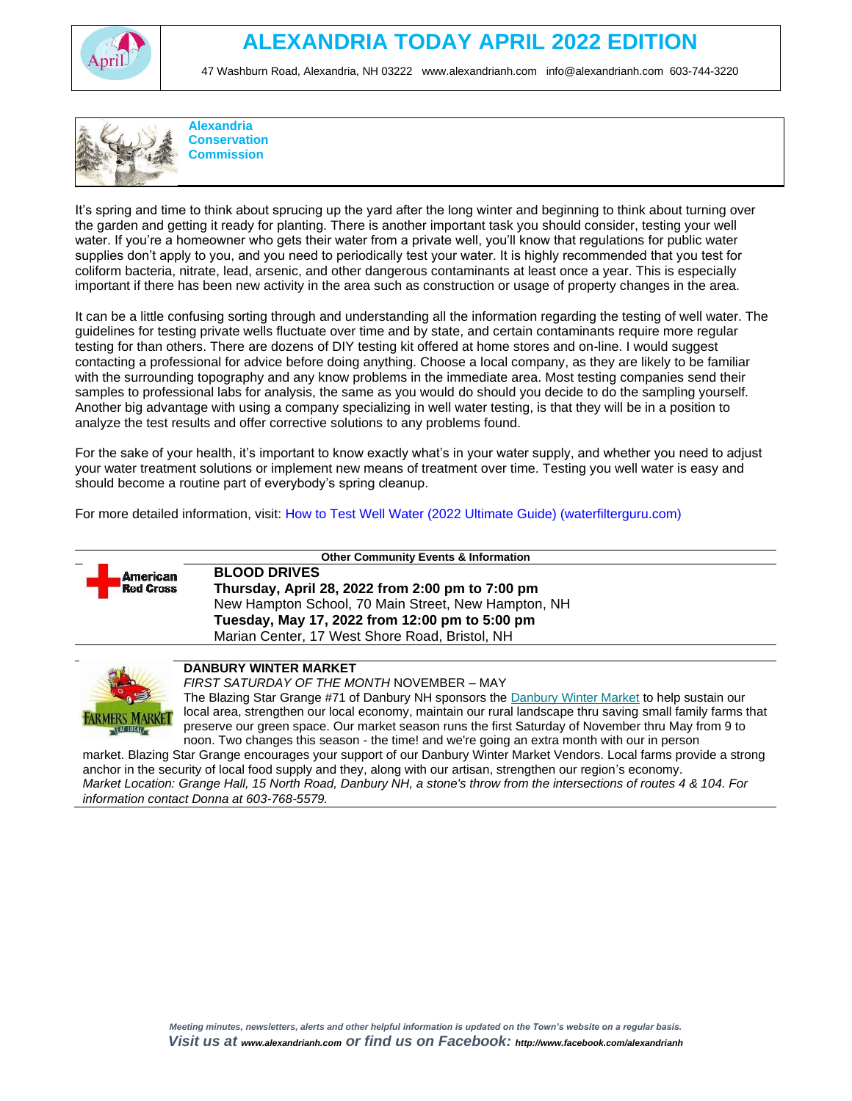

# **ALEXANDRIA TODAY APRIL 2022 EDITION**

47 Washburn Road, Alexandria, NH 03222 [www.alexandrianh.com](http://www.alexandrianh.com/) info@alexandrianh.com 603-744-3220



It's spring and time to think about sprucing up the yard after the long winter and beginning to think about turning over the garden and getting it ready for planting. There is another important task you should consider, testing your well water. If you're a homeowner who gets their water from a private well, you'll know that regulations for public water supplies don't apply to you, and you need to periodically test your water. It is highly recommended that you test for coliform bacteria, nitrate, lead, arsenic, and other dangerous contaminants at least once a year. This is especially important if there has been new activity in the area such as construction or usage of property changes in the area.

It can be a little confusing sorting through and understanding all the information regarding the testing of well water. The guidelines for testing private wells fluctuate over time and by state, and certain contaminants require more regular testing for than others. There are dozens of DIY testing kit offered at home stores and on-line. I would suggest contacting a professional for advice before doing anything. Choose a local company, as they are likely to be familiar with the surrounding topography and any know problems in the immediate area. Most testing companies send their samples to professional labs for analysis, the same as you would do should you decide to do the sampling yourself. Another big advantage with using a company specializing in well water testing, is that they will be in a position to analyze the test results and offer corrective solutions to any problems found.

For the sake of your health, it's important to know exactly what's in your water supply, and whether you need to adjust your water treatment solutions or implement new means of treatment over time. Testing you well water is easy and should become a routine part of everybody's spring cleanup.

For more detailed information, visit: How to Test Well Water (2022 Ultimate Guide) (waterfilterguru.com)



**Other Community Events & Information**

**BLOOD DRIVES Thursday, April 28, 2022 from 2:00 pm to 7:00 pm** New Hampton School, 70 Main Street, New Hampton, NH **Tuesday, May 17, 2022 from 12:00 pm to 5:00 pm** Marian Center, 17 West Shore Road, Bristol, NH



## **DANBURY WINTER MARKET**

*FIRST SATURDAY OF THE MONTH* NOVEMBER – MAY

The Blazing Star Grange #71 of Danbury NH sponsors the [Danbury Winter Market](https://harvesttomarket.com/farmers-market/Danbury-Winter-Market) to help sustain our local area, strengthen our local economy, maintain our rural landscape thru saving small family farms that preserve our green space. Our market season runs the first Saturday of November thru May from 9 to noon. Two changes this season - the time! and we're going an extra month with our in person

market. Blazing Star Grange encourages your support of our Danbury Winter Market Vendors. Local farms provide a strong anchor in the security of local food supply and they, along with our artisan, strengthen our region's economy. *Market Location: Grange Hall, 15 North Road, Danbury NH, a stone's throw from the intersections of routes 4 & 104. For information contact Donna at 603-768-5579.*